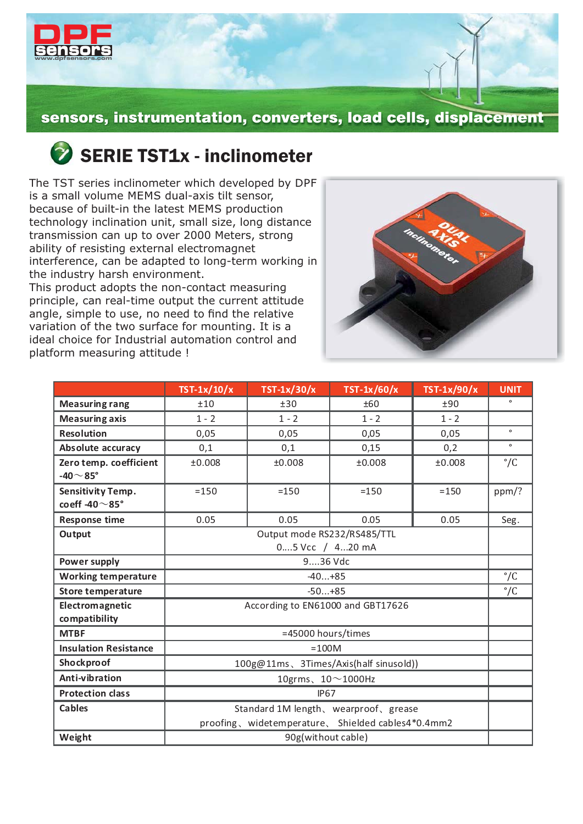

sensors, instrumentation, converters, load cells, displacement

## SERIE TST1x - inclinometer

The TST series inclinometer which developed by DPF is a small volume MEMS dual-axis tilt sensor, because of built-in the latest MEMS production technology inclination unit, small size, long distance transmission can up to over 2000 Meters, strong ability of resisting external electromagnet interference, can be adapted to long-term working in the industry harsh environment.

This product adopts the non-contact measuring principle, can real-time output the current attitude angle, simple to use, no need to find the relative variation of the two surface for mounting. It is a ideal choice for Industrial automation control and platform measuring attitude !



|                              | $TST-1x/10/x$                                      | $TST-1x/30/x$ | $TST-1x/60/x$ | TST-1x/90/x | <b>UNIT</b>  |  |  |
|------------------------------|----------------------------------------------------|---------------|---------------|-------------|--------------|--|--|
| <b>Measuring rang</b>        | ±10                                                | ±30           | ±60           | ±90         |              |  |  |
| <b>Measuring axis</b>        | $1 - 2$                                            | $1 - 2$       | $1 - 2$       | $1 - 2$     |              |  |  |
| <b>Resolution</b>            | 0,05                                               | 0,05          | 0,05          | 0,05        | $\bullet$    |  |  |
| Absolute accuracy            | 0,1                                                | 0,1           | 0,15          | 0,2         | $\circ$      |  |  |
| Zero temp. coefficient       | ±0.008                                             | ±0.008        | ±0.008        | ±0.008      | $\degree$ /C |  |  |
| -40 $\sim$ 85°               |                                                    |               |               |             |              |  |  |
| <b>Sensitivity Temp.</b>     | $= 150$                                            | $=150$        | $=150$        | $= 150$     | ppm/?        |  |  |
| coeff -40 $\sim$ 85°         |                                                    |               |               |             |              |  |  |
| <b>Response time</b>         | 0.05                                               | 0.05          | 0.05          | 0.05        | Seg.         |  |  |
| Output                       | Output mode RS232/RS485/TTL                        |               |               |             |              |  |  |
|                              | 05 Vcc / 420 mA                                    |               |               |             |              |  |  |
| Power supply                 | 936 Vdc                                            |               |               |             |              |  |  |
| <b>Working temperature</b>   | $-40+85$                                           |               |               |             |              |  |  |
| <b>Store temperature</b>     | $-50+85$                                           |               |               |             |              |  |  |
| Electromagnetic              | According to EN61000 and GBT17626                  |               |               |             |              |  |  |
| compatibility                |                                                    |               |               |             |              |  |  |
| <b>MTBF</b>                  | =45000 hours/times                                 |               |               |             |              |  |  |
| <b>Insulation Resistance</b> | $=100M$                                            |               |               |             |              |  |  |
| Shockproof                   | 100g@11ms、3Times/Axis(half sinusold))              |               |               |             |              |  |  |
| Anti-vibration               | 10grms、10 $\sim$ 1000Hz                            |               |               |             |              |  |  |
| <b>Protection class</b>      | <b>IP67</b>                                        |               |               |             |              |  |  |
| <b>Cables</b>                | Standard 1M length, wearproof, grease              |               |               |             |              |  |  |
|                              | proofing, widetemperature, Shielded cables4*0.4mm2 |               |               |             |              |  |  |
| Weight                       | 90g(without cable)                                 |               |               |             |              |  |  |